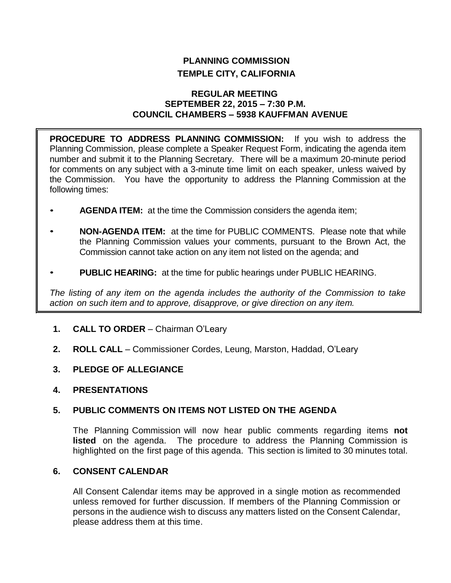# **PLANNING COMMISSION TEMPLE CITY, CALIFORNIA**

#### **REGULAR MEETING SEPTEMBER 22, 2015 – 7:30 P.M. COUNCIL CHAMBERS – 5938 KAUFFMAN AVENUE**

**PROCEDURE TO ADDRESS PLANNING COMMISSION:** If you wish to address the Planning Commission, please complete a Speaker Request Form, indicating the agenda item number and submit it to the Planning Secretary. There will be a maximum 20-minute period for comments on any subject with a 3-minute time limit on each speaker, unless waived by the Commission. You have the opportunity to address the Planning Commission at the following times:

- **AGENDA ITEM:** at the time the Commission considers the agenda item;
- **NON-AGENDA ITEM:** at the time for PUBLIC COMMENTS. Please note that while the Planning Commission values your comments, pursuant to the Brown Act, the Commission cannot take action on any item not listed on the agenda; and
- **PUBLIC HEARING:** at the time for public hearings under PUBLIC HEARING.

*The listing of any item on the agenda includes the authority of the Commission to take action on such item and to approve, disapprove, or give direction on any item.*

- **1. CALL TO ORDER**  Chairman O'Leary
- **2. ROLL CALL**  Commissioner Cordes, Leung, Marston, Haddad, O'Leary
- **3. PLEDGE OF ALLEGIANCE**
- **4. PRESENTATIONS**

## **5. PUBLIC COMMENTS ON ITEMS NOT LISTED ON THE AGENDA**

The Planning Commission will now hear public comments regarding items **not listed** on the agenda. The procedure to address the Planning Commission is highlighted on the first page of this agenda. This section is limited to 30 minutes total.

# **6. CONSENT CALENDAR**

All Consent Calendar items may be approved in a single motion as recommended unless removed for further discussion. If members of the Planning Commission or persons in the audience wish to discuss any matters listed on the Consent Calendar, please address them at this time.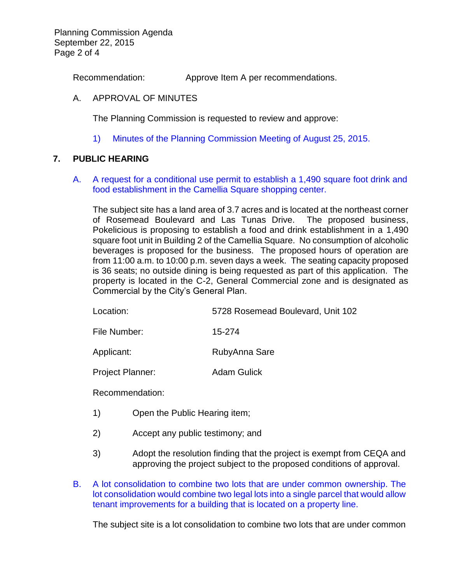Planning Commission Agenda September 22, 2015 Page 2 of 4

Recommendation: Approve Item A per recommendations.

#### A. APPROVAL OF MINUTES

The Planning Commission is requested to review and approve:

1) Minutes of the [Planning Commission Meeting](http://ca-templecity.civicplus.com/DocumentCenter/View/4546) of August 25, 2015.

#### **7. PUBLIC HEARING**

A. [A request for a conditional use permit to establish a 1,490 square foot drink and](http://ca-templecity.civicplus.com/DocumentCenter/View/4547)  [food establishment in the Camellia Square shopping center.](http://ca-templecity.civicplus.com/DocumentCenter/View/4547)

The subject site has a land area of 3.7 acres and is located at the northeast corner of Rosemead Boulevard and Las Tunas Drive. The proposed business, Pokelicious is proposing to establish a food and drink establishment in a 1,490 square foot unit in Building 2 of the Camellia Square. No consumption of alcoholic beverages is proposed for the business. The proposed hours of operation are from 11:00 a.m. to 10:00 p.m. seven days a week. The seating capacity proposed is 36 seats; no outside dining is being requested as part of this application. The property is located in the C-2, General Commercial zone and is designated as Commercial by the City's General Plan.

| Location: | 5728 Rosemead Boulevard, Unit 102 |
|-----------|-----------------------------------|
|-----------|-----------------------------------|

File Number: 15-274

Applicant: RubyAnna Sare

Project Planner: Adam Gulick

Recommendation:

- 1) Open the Public Hearing item;
- 2) Accept any public testimony; and
- 3) Adopt the resolution finding that the project is exempt from CEQA and approving the project subject to the proposed conditions of approval.
- B. [A lot consolidation to combine two lots that are under common ownership. The](http://ca-templecity.civicplus.com/DocumentCenter/View/4548)  [lot consolidation would combine two legal lots into a single parcel that would allow](http://ca-templecity.civicplus.com/DocumentCenter/View/4548)  [tenant improvements for a building that is located on a property line.](http://ca-templecity.civicplus.com/DocumentCenter/View/4548)

The subject site is a lot consolidation to combine two lots that are under common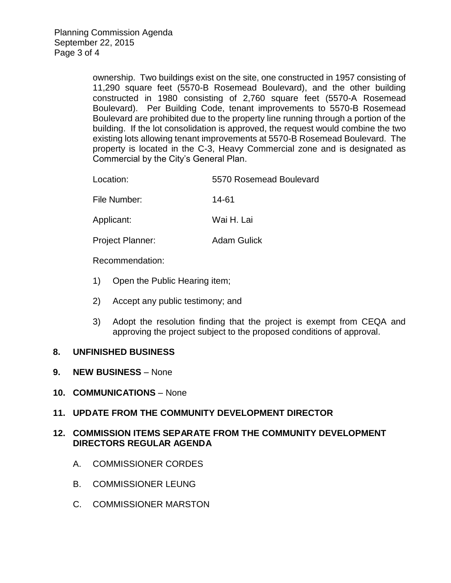ownership. Two buildings exist on the site, one constructed in 1957 consisting of 11,290 square feet (5570-B Rosemead Boulevard), and the other building constructed in 1980 consisting of 2,760 square feet (5570-A Rosemead Boulevard). Per Building Code, tenant improvements to 5570-B Rosemead Boulevard are prohibited due to the property line running through a portion of the building. If the lot consolidation is approved, the request would combine the two existing lots allowing tenant improvements at 5570-B Rosemead Boulevard. The property is located in the C-3, Heavy Commercial zone and is designated as Commercial by the City's General Plan.

| 5570 Rosemead Boulevard |
|-------------------------|
|                         |

File Number: 14-61

Applicant: Wai H. Lai

Project Planner: Adam Gulick

Recommendation:

- 1) Open the Public Hearing item;
- 2) Accept any public testimony; and
- 3) Adopt the resolution finding that the project is exempt from CEQA and approving the project subject to the proposed conditions of approval.

## **8. UNFINISHED BUSINESS**

- **9. NEW BUSINESS** None
- **10. COMMUNICATIONS** None
- **11. UPDATE FROM THE COMMUNITY DEVELOPMENT DIRECTOR**

# **12. COMMISSION ITEMS SEPARATE FROM THE COMMUNITY DEVELOPMENT DIRECTORS REGULAR AGENDA**

- A. COMMISSIONER CORDES
- B. COMMISSIONER LEUNG
- C. COMMISSIONER MARSTON